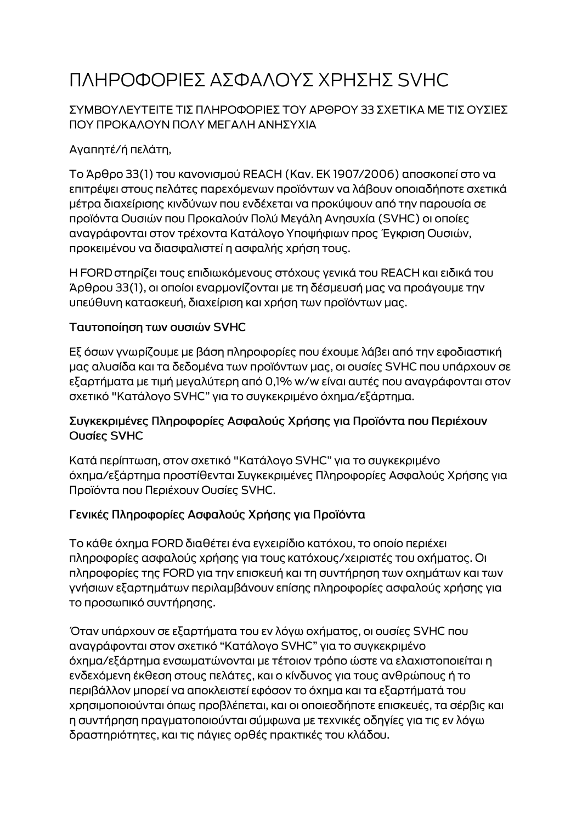# ΠΛΗΡΟΦΟΡΙΕΣ ΑΣΦΑΛΟΥΣ ΧΡΗΣΗΣ SVHC

### ΣΥΜΒΟΥΛΕΥΤΕΙΤΕ ΤΙΣ ΠΛΗΡΟΦΟΡΙΕΣ ΤΟΥ ΑΡΘΡΟΥ 33 ΣΧΕΤΙΚΑ ΜΕ ΤΙΣ ΟΥΣΙΕΣ ΠΟΥ ΠΡΟΚΑΛΟΥΝ ΠΟΛΥ ΜΕΓΑΛΗ ΑΝΗΣΥΧΙΑ

# Αγαπητέ/ή πελάτη,

Το Άρθρο 33(1) του κανονισμού REACH (Καν. ΕΚ 1907/2006) αποσκοπεί στο να επιτρέψει στους πελάτες παρεχόμενων προϊόντων να λάβουν οποιαδήποτε σχετικά μέτρα διαχείρισης κινδύνων που ενδέχεται να προκύψουν από την παρουσία σε προϊόντα Ουσιών που Προκαλούν Πολύ Μεγάλη Ανησυχία (SVHC) οι οποίες αναγράφονται στον τρέχοντα Κατάλογο Υποψήφιων προς Έγκριση Ουσιών, προκειμένου να διασφαλιστεί η ασφαλής χρήση τους.

Η FORD στηρίζει τους επιδιωκόμενους στόχους γενικά του REACH και ειδικά του Άρθρου 33(1), οι οποίοι εναρμονίζονται με τη δέσμευσή μας να προάγουμε την υπεύθυνη κατασκευή, διαχείριση και χρήση των προϊόντων μας.

#### Ταυτοποίηση των ουσιών SVHC

Εξ όσων γνωρίζουμε με βάση πληροφορίες που έχουμε λάβει από την εφοδιαστική μας αλυσίδα και τα δεδομένα των προϊόντων μας, οι ουσίες SVHC που υπάρχουν σε εξαρτήματα με τιμή μεγαλύτερη από 0,1% w/w είναι αυτές που αναγράφονται στον σχετικό "Κατάλογο SVHC" για το συγκεκριμένο όχημα/εξάρτημα.

#### Συγκεκριμένες Πληροφορίες Ασφαλούς Χρήσης για Προϊόντα που Περιέχουν Ουσίες SVHC

Κατά περίπτωση, στον σχετικό "Κατάλογο SVHC" για το συγκεκριμένο όχημα/εξάρτημα προστίθενται Συγκεκριμένες Πληροφορίες Ασφαλούς Χρήσης για Προϊόντα που Περιέχουν Ουσίες SVHC.

## Γενικές Πληροφορίες Ασφαλούς Χρήσης για Προϊόντα

Το κάθε όχημα FORD διαθέτει ένα εγχειρίδιο κατόχου, το οποίο περιέχει πληροφορίες ασφαλούς χρήσης για τους κατόχους/χειριστές του οχήματος. Οι πληροφορίες της FORD για την επισκευή και τη συντήρηση των οχημάτων και των γνήσιων εξαρτημάτων περιλαμβάνουν επίσης πληροφορίες ασφαλούς χρήσης για το προσωπικό συντήρησης.

Όταν υπάρχουν σε εξαρτήματα του εν λόγω οχήματος, οι ουσίες SVHC που αναγράφονται στον σχετικό "Κατάλογο SVHC" για το συγκεκριμένο όχημα/εξάρτημα ενσωματώνονται με τέτοιον τρόπο ώστε να ελαχιστοποιείται η ενδεχόμενη έκθεση στους πελάτες, και ο κίνδυνος για τους ανθρώπους ή το περιβάλλον μπορεί να αποκλειστεί εφόσον το όχημα και τα εξαρτήματά του χρησιμοποιούνται όπως προβλέπεται, και οι οποιεσδήποτε επισκευές, τα σέρβις και η συντήρηση πραγματοποιούνται σύμφωνα με τεχνικές οδηγίες για τις εν λόγω δραστηριότητες, και τις πάγιες ορθές πρακτικές του κλάδου.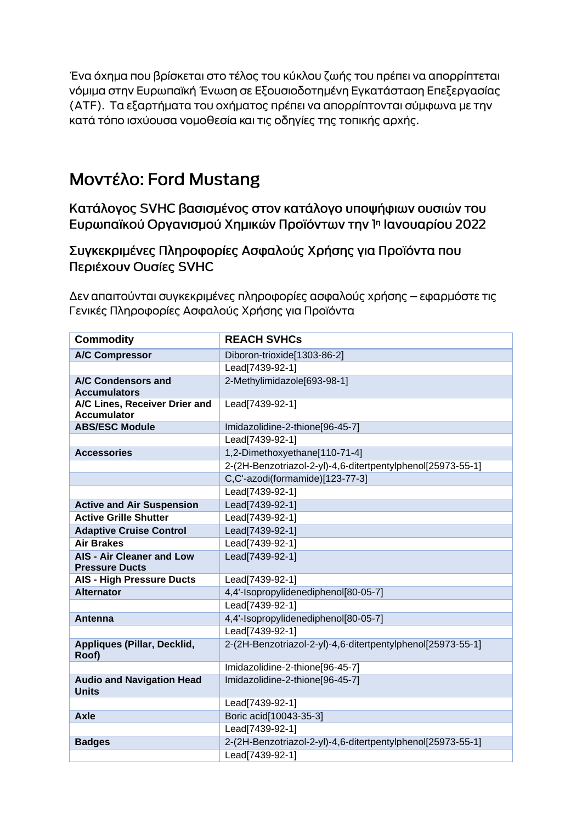Ένα όχημα που βρίσκεται στο τέλος του κύκλου ζωής του πρέπει να απορρίπτεται νόμιμα στην Ευρωπαϊκή Ένωση σε Εξουσιοδοτημένη Εγκατάσταση Επεξεργασίας (ΑΤΕ). Τα εξαρτήματα του οχήματος πρέπει να απορρίπτονται σύμφωνα με την κατά τόπο ισχύουσα νομοθεσία και τις οδηγίες της τοπικής αρχής.

# Μοντέλο: Ford Mustang

Κατάλογος SVHC βασισμένος στον κατάλογο υποψήφιων ουσιών του Ευρωπαϊκού Οργανισμού Χημικών Προϊόντων την 1η Ιανουαρίου 2022

Συγκεκριμένες Πληροφορίες Ασφαλούς Χρήσης για Προϊόντα που Περιέχουν Ουσίες SVHC

Δεν απαιτούνται συγκεκριμένες πληροφορίες ασφαλούς χρήσης – εφαρμόστε τις Γενικές Πληροφορίες Ασφαλούς Χρήσης για Προϊόντα

| <b>Commodity</b>                                          | <b>REACH SVHCs</b>                                          |
|-----------------------------------------------------------|-------------------------------------------------------------|
| <b>A/C Compressor</b>                                     | Diboron-trioxide[1303-86-2]                                 |
|                                                           | Lead[7439-92-1]                                             |
| A/C Condensors and<br><b>Accumulators</b>                 | 2-Methylimidazole[693-98-1]                                 |
| A/C Lines, Receiver Drier and<br><b>Accumulator</b>       | Lead[7439-92-1]                                             |
| <b>ABS/ESC Module</b>                                     | Imidazolidine-2-thione[96-45-7]                             |
|                                                           | Lead[7439-92-1]                                             |
| <b>Accessories</b>                                        | 1,2-Dimethoxyethane[110-71-4]                               |
|                                                           | 2-(2H-Benzotriazol-2-yl)-4,6-ditertpentylphenol[25973-55-1] |
|                                                           | C,C'-azodi(formamide)[123-77-3]                             |
|                                                           | Lead[7439-92-1]                                             |
| <b>Active and Air Suspension</b>                          | Lead[7439-92-1]                                             |
| <b>Active Grille Shutter</b>                              | Lead[7439-92-1]                                             |
| <b>Adaptive Cruise Control</b>                            | Lead[7439-92-1]                                             |
| <b>Air Brakes</b>                                         | Lead[7439-92-1]                                             |
| <b>AIS - Air Cleaner and Low</b><br><b>Pressure Ducts</b> | Lead[7439-92-1]                                             |
| <b>AIS - High Pressure Ducts</b>                          | Lead[7439-92-1]                                             |
| <b>Alternator</b>                                         | 4,4'-Isopropylidenediphenol[80-05-7]                        |
|                                                           | Lead[7439-92-1]                                             |
| <b>Antenna</b>                                            | 4,4'-Isopropylidenediphenol[80-05-7]                        |
|                                                           | Lead[7439-92-1]                                             |
| Appliques (Pillar, Decklid,<br>Roof)                      | 2-(2H-Benzotriazol-2-yl)-4,6-ditertpentylphenol[25973-55-1] |
|                                                           | Imidazolidine-2-thione[96-45-7]                             |
| <b>Audio and Navigation Head</b><br><b>Units</b>          | Imidazolidine-2-thione[96-45-7]                             |
|                                                           | Lead[7439-92-1]                                             |
| <b>Axle</b>                                               | Boric acid[10043-35-3]                                      |
|                                                           | Lead[7439-92-1]                                             |
| <b>Badges</b>                                             | 2-(2H-Benzotriazol-2-yl)-4,6-ditertpentylphenol[25973-55-1] |
|                                                           | Lead[7439-92-1]                                             |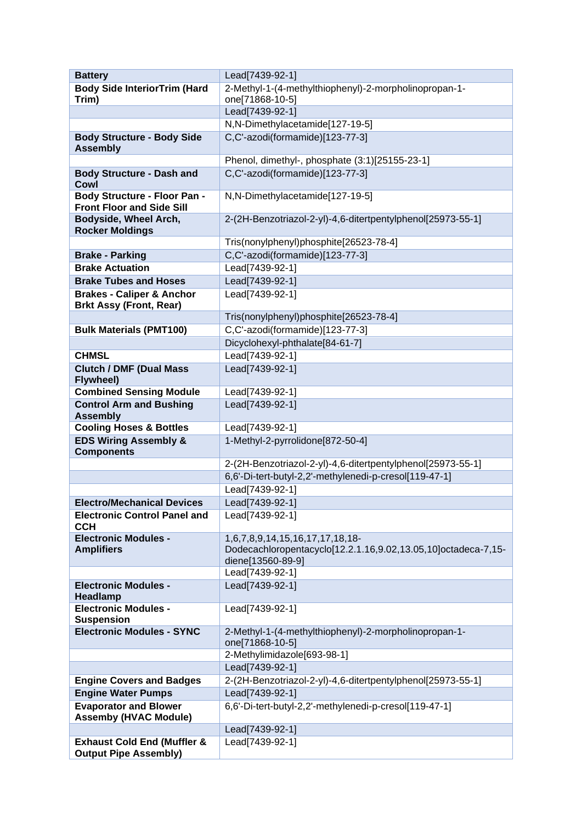| <b>Battery</b>                                                          | Lead[7439-92-1]                                                                                                       |
|-------------------------------------------------------------------------|-----------------------------------------------------------------------------------------------------------------------|
| <b>Body Side InteriorTrim (Hard</b>                                     | 2-Methyl-1-(4-methylthiophenyl)-2-morpholinopropan-1-                                                                 |
| Trim)                                                                   | one[71868-10-5]                                                                                                       |
|                                                                         | Lead[7439-92-1]                                                                                                       |
|                                                                         | N,N-Dimethylacetamide[127-19-5]                                                                                       |
| <b>Body Structure - Body Side</b><br><b>Assembly</b>                    | C,C'-azodi(formamide)[123-77-3]                                                                                       |
|                                                                         | Phenol, dimethyl-, phosphate (3:1)[25155-23-1]                                                                        |
| <b>Body Structure - Dash and</b>                                        | C,C'-azodi(formamide)[123-77-3]                                                                                       |
| <b>Cowl</b>                                                             |                                                                                                                       |
| <b>Body Structure - Floor Pan -</b><br><b>Front Floor and Side Sill</b> | N,N-Dimethylacetamide[127-19-5]                                                                                       |
| Bodyside, Wheel Arch,<br><b>Rocker Moldings</b>                         | 2-(2H-Benzotriazol-2-yl)-4,6-ditertpentylphenol[25973-55-1]                                                           |
|                                                                         | Tris(nonylphenyl)phosphite[26523-78-4]                                                                                |
| <b>Brake - Parking</b>                                                  | C,C'-azodi(formamide)[123-77-3]                                                                                       |
| <b>Brake Actuation</b>                                                  | Lead[7439-92-1]                                                                                                       |
| <b>Brake Tubes and Hoses</b>                                            | Lead[7439-92-1]                                                                                                       |
| <b>Brakes - Caliper &amp; Anchor</b>                                    | Lead[7439-92-1]                                                                                                       |
| <b>Brkt Assy (Front, Rear)</b>                                          |                                                                                                                       |
|                                                                         | Tris(nonylphenyl)phosphite[26523-78-4]                                                                                |
| <b>Bulk Materials (PMT100)</b>                                          | C,C'-azodi(formamide)[123-77-3]                                                                                       |
|                                                                         | Dicyclohexyl-phthalate[84-61-7]                                                                                       |
| <b>CHMSL</b>                                                            | Lead[7439-92-1]                                                                                                       |
| <b>Clutch / DMF (Dual Mass</b><br>Flywheel)                             | Lead[7439-92-1]                                                                                                       |
| <b>Combined Sensing Module</b>                                          | Lead[7439-92-1]                                                                                                       |
| <b>Control Arm and Bushing</b><br><b>Assembly</b>                       | Lead[7439-92-1]                                                                                                       |
| <b>Cooling Hoses &amp; Bottles</b>                                      | Lead[7439-92-1]                                                                                                       |
| <b>EDS Wiring Assembly &amp;</b>                                        | 1-Methyl-2-pyrrolidone[872-50-4]                                                                                      |
| <b>Components</b>                                                       |                                                                                                                       |
|                                                                         | 2-(2H-Benzotriazol-2-yl)-4,6-ditertpentylphenol[25973-55-1]                                                           |
|                                                                         | 6,6'-Di-tert-butyl-2,2'-methylenedi-p-cresol[119-47-1]                                                                |
|                                                                         | Lead[7439-92-1]                                                                                                       |
| <b>Electro/Mechanical Devices</b>                                       | Lead[7439-92-1]                                                                                                       |
| <b>Electronic Control Panel and</b><br><b>CCH</b>                       | Lead[7439-92-1]                                                                                                       |
| <b>Electronic Modules -</b><br><b>Amplifiers</b>                        | 1,6,7,8,9,14,15,16,17,17,18,18-<br>Dodecachloropentacyclo[12.2.1.16,9.02,13.05,10]octadeca-7,15-<br>diene[13560-89-9] |
|                                                                         | Lead[7439-92-1]                                                                                                       |
| <b>Electronic Modules -</b><br>Headlamp                                 | Lead[7439-92-1]                                                                                                       |
| <b>Electronic Modules -</b><br><b>Suspension</b>                        | Lead[7439-92-1]                                                                                                       |
| <b>Electronic Modules - SYNC</b>                                        | 2-Methyl-1-(4-methylthiophenyl)-2-morpholinopropan-1-<br>one[71868-10-5]                                              |
|                                                                         | 2-Methylimidazole[693-98-1]                                                                                           |
|                                                                         | Lead[7439-92-1]                                                                                                       |
| <b>Engine Covers and Badges</b>                                         | 2-(2H-Benzotriazol-2-yl)-4,6-ditertpentylphenol[25973-55-1]                                                           |
| <b>Engine Water Pumps</b>                                               | Lead[7439-92-1]                                                                                                       |
| <b>Evaporator and Blower</b><br><b>Assemby (HVAC Module)</b>            | 6,6'-Di-tert-butyl-2,2'-methylenedi-p-cresol[119-47-1]                                                                |
|                                                                         | Lead[7439-92-1]                                                                                                       |
| <b>Exhaust Cold End (Muffler &amp;</b>                                  | Lead[7439-92-1]                                                                                                       |
| <b>Output Pipe Assembly)</b>                                            |                                                                                                                       |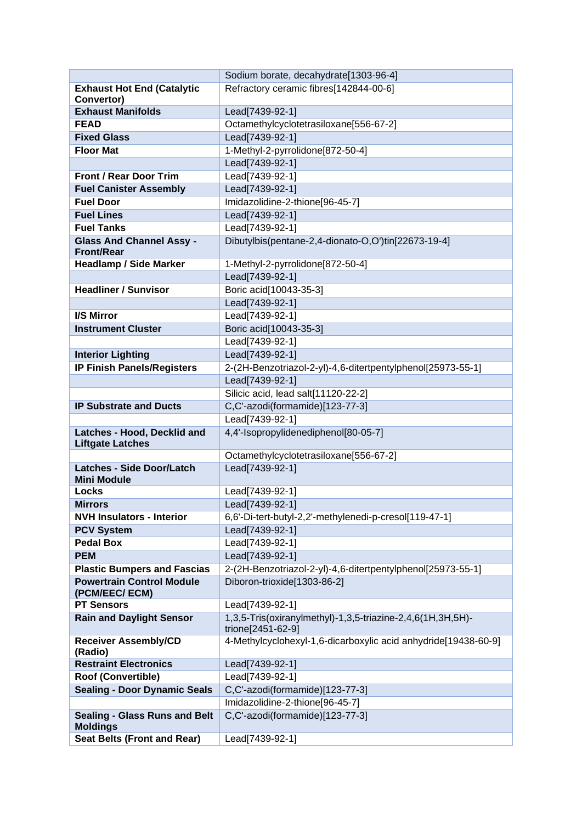|                                                        | Sodium borate, decahydrate[1303-96-4]                                           |
|--------------------------------------------------------|---------------------------------------------------------------------------------|
| <b>Exhaust Hot End (Catalytic</b>                      | Refractory ceramic fibres[142844-00-6]                                          |
| Convertor)                                             |                                                                                 |
| <b>Exhaust Manifolds</b>                               | Lead[7439-92-1]                                                                 |
| <b>FEAD</b>                                            | Octamethylcyclotetrasiloxane[556-67-2]                                          |
| <b>Fixed Glass</b>                                     | Lead[7439-92-1]                                                                 |
| <b>Floor Mat</b>                                       | 1-Methyl-2-pyrrolidone[872-50-4]                                                |
|                                                        | Lead[7439-92-1]                                                                 |
| <b>Front / Rear Door Trim</b>                          | Lead[7439-92-1]                                                                 |
| <b>Fuel Canister Assembly</b>                          | Lead[7439-92-1]                                                                 |
| <b>Fuel Door</b>                                       | Imidazolidine-2-thione[96-45-7]                                                 |
| <b>Fuel Lines</b>                                      | Lead[7439-92-1]                                                                 |
| <b>Fuel Tanks</b>                                      | Lead[7439-92-1]                                                                 |
| <b>Glass And Channel Assy -</b><br><b>Front/Rear</b>   | Dibutylbis(pentane-2,4-dionato-O,O')tin[22673-19-4]                             |
| <b>Headlamp / Side Marker</b>                          | 1-Methyl-2-pyrrolidone[872-50-4]                                                |
|                                                        | Lead[7439-92-1]                                                                 |
| <b>Headliner / Sunvisor</b>                            | Boric acid[10043-35-3]                                                          |
|                                                        | Lead[7439-92-1]                                                                 |
| I/S Mirror                                             | Lead[7439-92-1]                                                                 |
| <b>Instrument Cluster</b>                              | Boric acid[10043-35-3]                                                          |
|                                                        | Lead[7439-92-1]                                                                 |
| <b>Interior Lighting</b>                               | Lead[7439-92-1]                                                                 |
| <b>IP Finish Panels/Registers</b>                      | 2-(2H-Benzotriazol-2-yl)-4,6-ditertpentylphenol[25973-55-1]                     |
|                                                        | Lead[7439-92-1]                                                                 |
|                                                        | Silicic acid, lead salt[11120-22-2]                                             |
| <b>IP Substrate and Ducts</b>                          | C,C'-azodi(formamide)[123-77-3]                                                 |
|                                                        | Lead[7439-92-1]                                                                 |
| Latches - Hood, Decklid and<br><b>Liftgate Latches</b> | 4,4'-Isopropylidenediphenol[80-05-7]                                            |
|                                                        | Octamethylcyclotetrasiloxane[556-67-2]                                          |
| <b>Latches - Side Door/Latch</b><br><b>Mini Module</b> | Lead[7439-92-1]                                                                 |
| <b>Locks</b>                                           | Lead[7439-92-1]                                                                 |
| <b>Mirrors</b>                                         | Lead[7439-92-1]                                                                 |
| <b>NVH Insulators - Interior</b>                       | 6,6'-Di-tert-butyl-2,2'-methylenedi-p-cresol[119-47-1]                          |
| <b>PCV System</b>                                      | Lead[7439-92-1]                                                                 |
| <b>Pedal Box</b>                                       | Lead[7439-92-1]                                                                 |
| <b>PEM</b>                                             | Lead[7439-92-1]                                                                 |
| <b>Plastic Bumpers and Fascias</b>                     | 2-(2H-Benzotriazol-2-yl)-4,6-ditertpentylphenol[25973-55-1]                     |
| <b>Powertrain Control Module</b><br>(PCM/EEC/ ECM)     | Diboron-trioxide[1303-86-2]                                                     |
| <b>PT Sensors</b>                                      | Lead[7439-92-1]                                                                 |
| <b>Rain and Daylight Sensor</b>                        | 1,3,5-Tris(oxiranylmethyl)-1,3,5-triazine-2,4,6(1H,3H,5H)-<br>trione[2451-62-9] |
| <b>Receiver Assembly/CD</b><br>(Radio)                 | 4-Methylcyclohexyl-1,6-dicarboxylic acid anhydride[19438-60-9]                  |
| <b>Restraint Electronics</b>                           | Lead[7439-92-1]                                                                 |
| Roof (Convertible)                                     | Lead[7439-92-1]                                                                 |
| <b>Sealing - Door Dynamic Seals</b>                    | C,C'-azodi(formamide)[123-77-3]                                                 |
|                                                        | Imidazolidine-2-thione[96-45-7]                                                 |
| <b>Sealing - Glass Runs and Belt</b>                   | C,C'-azodi(formamide)[123-77-3]                                                 |
| <b>Moldings</b>                                        |                                                                                 |
| <b>Seat Belts (Front and Rear)</b>                     | Lead[7439-92-1]                                                                 |